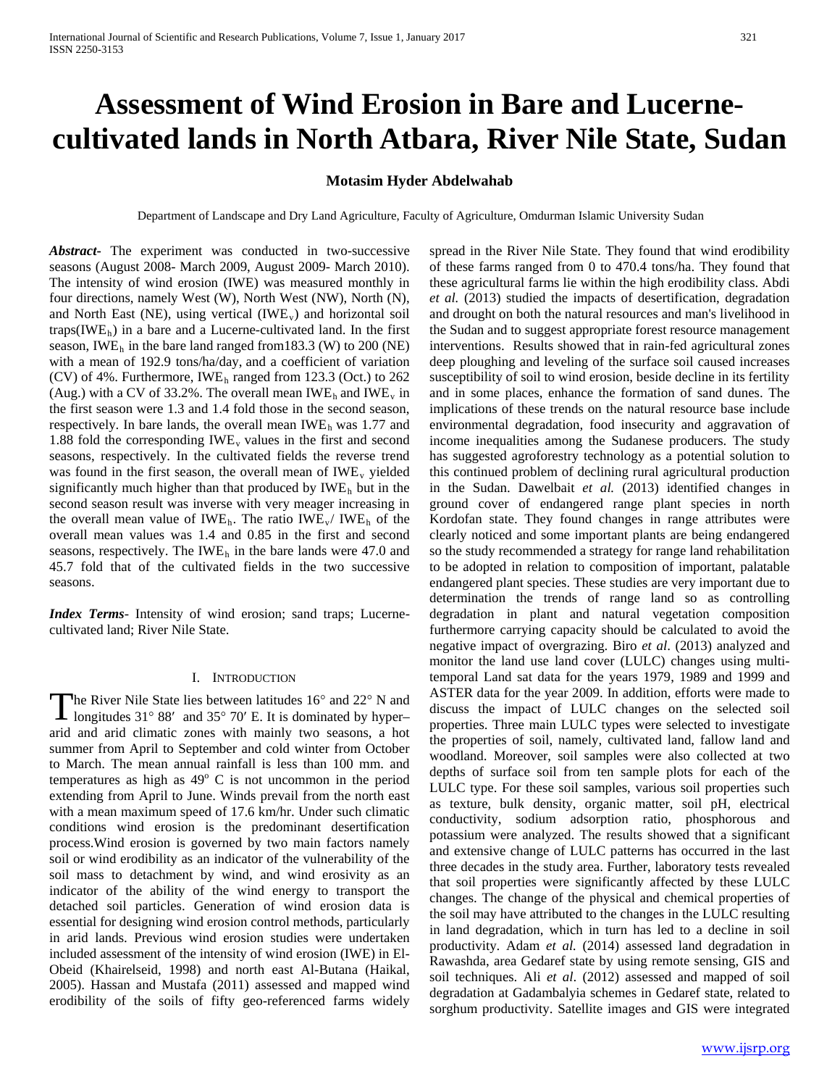# **Assessment of Wind Erosion in Bare and Lucernecultivated lands in North Atbara, River Nile State, Sudan**

# **Motasim Hyder Abdelwahab**

Department of Landscape and Dry Land Agriculture, Faculty of Agriculture, Omdurman Islamic University Sudan

*Abstract***-** The experiment was conducted in two-successive seasons (August 2008- March 2009, August 2009- March 2010). The intensity of wind erosion (IWE) was measured monthly in four directions, namely West (W), North West (NW), North (N), and North East (NE), using vertical (IWE<sub>v</sub>) and horizontal soil traps(IWE<sub>h</sub>) in a bare and a Lucerne-cultivated land. In the first season, IWE $<sub>h</sub>$  in the bare land ranged from 183.3 (W) to 200 (NE)</sub> with a mean of 192.9 tons/ha/day, and a coefficient of variation (CV) of 4%. Furthermore, IWEh ranged from 123.3 (Oct.) to 262 (Aug.) with a CV of 33.2%. The overall mean  $IWE<sub>h</sub>$  and  $IWE<sub>v</sub>$  in the first season were 1.3 and 1.4 fold those in the second season, respectively. In bare lands, the overall mean  $IWE<sub>h</sub>$  was 1.77 and 1.88 fold the corresponding  $IWE_v$  values in the first and second seasons, respectively. In the cultivated fields the reverse trend was found in the first season, the overall mean of  $IWE_v$  yielded significantly much higher than that produced by  $IWE<sub>h</sub>$  but in the second season result was inverse with very meager increasing in the overall mean value of IWE<sub>h</sub>. The ratio IWE<sub>v</sub>/ IWE<sub>h</sub> of the overall mean values was 1.4 and 0.85 in the first and second seasons, respectively. The IW $E_h$  in the bare lands were 47.0 and 45.7 fold that of the cultivated fields in the two successive seasons.

*Index Terms*- Intensity of wind erosion; sand traps; Lucernecultivated land; River Nile State.

#### I. INTRODUCTION

The River Nile State lies between latitudes 16° and 22° N and The River Nile State lies between latitudes 16° and 22° N and<br>longitudes 31° 88′ and 35° 70′ E. It is dominated by hyper– arid and arid climatic zones with mainly two seasons, a hot summer from April to September and cold winter from October to March. The mean annual rainfall is less than 100 mm. and temperatures as high as  $49^{\circ}$  C is not uncommon in the period extending from April to June. Winds prevail from the north east with a mean maximum speed of 17.6 km/hr. Under such climatic conditions wind erosion is the predominant desertification process.Wind erosion is governed by two main factors namely soil or wind erodibility as an indicator of the vulnerability of the soil mass to detachment by wind, and wind erosivity as an indicator of the ability of the wind energy to transport the detached soil particles. Generation of wind erosion data is essential for designing wind erosion control methods, particularly in arid lands. Previous wind erosion studies were undertaken included assessment of the intensity of wind erosion (IWE) in El-Obeid (Khairelseid, 1998) and north east Al-Butana (Haikal, 2005). Hassan and Mustafa (2011) assessed and mapped wind erodibility of the soils of fifty geo-referenced farms widely

spread in the River Nile State. They found that wind erodibility of these farms ranged from 0 to 470.4 tons/ha. They found that these agricultural farms lie within the high erodibility class. Abdi *et al.* (2013) studied the impacts of desertification, degradation and drought on both the natural resources and man's livelihood in the Sudan and to suggest appropriate forest resource management interventions. Results showed that in rain-fed agricultural zones deep ploughing and leveling of the surface soil caused increases susceptibility of soil to wind erosion, beside decline in its fertility and in some places, enhance the formation of sand dunes. The implications of these trends on the natural resource base include environmental degradation, food insecurity and aggravation of income inequalities among the Sudanese producers. The study has suggested agroforestry technology as a potential solution to this continued problem of declining rural agricultural production in the Sudan. Dawelbait *et al.* (2013) identified changes in ground cover of endangered range plant species in north Kordofan state. They found changes in range attributes were clearly noticed and some important plants are being endangered so the study recommended a strategy for range land rehabilitation to be adopted in relation to composition of important, palatable endangered plant species. These studies are very important due to determination the trends of range land so as controlling degradation in plant and natural vegetation composition furthermore carrying capacity should be calculated to avoid the negative impact of overgrazing. Biro *et al*. (2013) analyzed and monitor the land use land cover (LULC) changes using multitemporal Land sat data for the years 1979, 1989 and 1999 and ASTER data for the year 2009. In addition, efforts were made to discuss the impact of LULC changes on the selected soil properties. Three main LULC types were selected to investigate the properties of soil, namely, cultivated land, fallow land and woodland. Moreover, soil samples were also collected at two depths of surface soil from ten sample plots for each of the LULC type. For these soil samples, various soil properties such as texture, bulk density, organic matter, soil pH, electrical conductivity, sodium adsorption ratio, phosphorous and potassium were analyzed. The results showed that a significant and extensive change of LULC patterns has occurred in the last three decades in the study area. Further, laboratory tests revealed that soil properties were significantly affected by these LULC changes. The change of the physical and chemical properties of the soil may have attributed to the changes in the LULC resulting in land degradation, which in turn has led to a decline in soil productivity. Adam *et al.* (2014) assessed land degradation in Rawashda, area Gedaref state by using remote sensing, GIS and soil techniques. Ali *et al*. (2012) assessed and mapped of soil degradation at Gadambalyia schemes in Gedaref state, related to sorghum productivity. Satellite images and GIS were integrated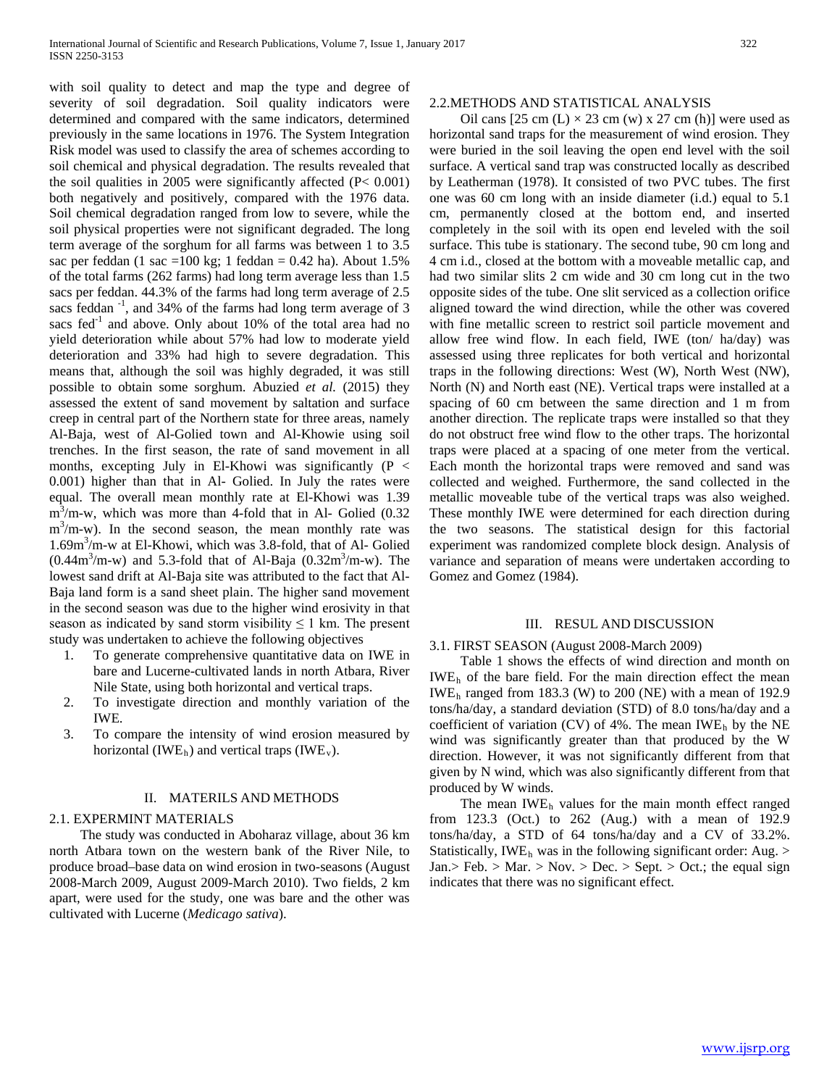with soil quality to detect and map the type and degree of severity of soil degradation. Soil quality indicators were determined and compared with the same indicators, determined previously in the same locations in 1976. The System Integration Risk model was used to classify the area of schemes according to soil chemical and physical degradation. The results revealed that the soil qualities in 2005 were significantly affected (P< 0.001) both negatively and positively, compared with the 1976 data. Soil chemical degradation ranged from low to severe, while the soil physical properties were not significant degraded. The long term average of the sorghum for all farms was between 1 to 3.5 sac per feddan (1 sac =100 kg; 1 feddan =  $0.42$  ha). About 1.5% of the total farms (262 farms) had long term average less than 1.5 sacs per feddan. 44.3% of the farms had long term average of 2.5 sacs feddan<sup>-1</sup>, and 34% of the farms had long term average of 3 sacs fed $^{-1}$  and above. Only about 10% of the total area had no yield deterioration while about 57% had low to moderate yield deterioration and 33% had high to severe degradation. This means that, although the soil was highly degraded, it was still possible to obtain some sorghum. Abuzied *et al.* (2015) they assessed the extent of sand movement by saltation and surface creep in central part of the Northern state for three areas, namely Al-Baja, west of Al-Golied town and Al-Khowie using soil trenches. In the first season, the rate of sand movement in all months, excepting July in El-Khowi was significantly  $(P \leq$ 0.001) higher than that in Al- Golied. In July the rates were equal. The overall mean monthly rate at El-Khowi was 1.39  $m<sup>3</sup>/m-w$ , which was more than 4-fold that in Al- Golied (0.32)  $m<sup>3</sup>/m-w$ ). In the second season, the mean monthly rate was 1.69m3 /m-w at El-Khowi, which was 3.8-fold, that of Al- Golied  $(0.44m<sup>3</sup>/m-w)$  and 5.3-fold that of Al-Baja  $(0.32m<sup>3</sup>/m-w)$ . The lowest sand drift at Al-Baja site was attributed to the fact that Al-Baja land form is a sand sheet plain. The higher sand movement in the second season was due to the higher wind erosivity in that season as indicated by sand storm visibility  $\leq 1$  km. The present study was undertaken to achieve the following objectives

- 1. To generate comprehensive quantitative data on IWE in bare and Lucerne-cultivated lands in north Atbara, River Nile State, using both horizontal and vertical traps.
- 2. To investigate direction and monthly variation of the IWE.
- 3. To compare the intensity of wind erosion measured by horizontal (IWE<sub>h</sub>) and vertical traps (IWE<sub>v</sub>).

#### II. MATERILS AND METHODS

## 2.1. EXPERMINT MATERIALS

 The study was conducted in Aboharaz village, about 36 km north Atbara town on the western bank of the River Nile, to produce broad–base data on wind erosion in two-seasons (August 2008-March 2009, August 2009-March 2010). Two fields, 2 km apart, were used for the study, one was bare and the other was cultivated with Lucerne (*Medicago sativa*).

#### 2.2.METHODS AND STATISTICAL ANALYSIS

Oil cans [25 cm (L)  $\times$  23 cm (w) x 27 cm (h)] were used as horizontal sand traps for the measurement of wind erosion. They were buried in the soil leaving the open end level with the soil surface. A vertical sand trap was constructed locally as described by Leatherman (1978). It consisted of two PVC tubes. The first one was 60 cm long with an inside diameter (i.d.) equal to 5.1 cm, permanently closed at the bottom end, and inserted completely in the soil with its open end leveled with the soil surface. This tube is stationary. The second tube, 90 cm long and 4 cm i.d., closed at the bottom with a moveable metallic cap, and had two similar slits 2 cm wide and 30 cm long cut in the two opposite sides of the tube. One slit serviced as a collection orifice aligned toward the wind direction, while the other was covered with fine metallic screen to restrict soil particle movement and allow free wind flow. In each field, IWE (ton/ ha/day) was assessed using three replicates for both vertical and horizontal traps in the following directions: West (W), North West (NW), North (N) and North east (NE). Vertical traps were installed at a spacing of 60 cm between the same direction and 1 m from another direction. The replicate traps were installed so that they do not obstruct free wind flow to the other traps. The horizontal traps were placed at a spacing of one meter from the vertical. Each month the horizontal traps were removed and sand was collected and weighed. Furthermore, the sand collected in the metallic moveable tube of the vertical traps was also weighed. These monthly IWE were determined for each direction during the two seasons. The statistical design for this factorial experiment was randomized complete block design. Analysis of variance and separation of means were undertaken according to Gomez and Gomez (1984).

#### III. RESUL AND DISCUSSION

#### 3.1. FIRST SEASON (August 2008-March 2009)

 Table 1 shows the effects of wind direction and month on IWE<sub>h</sub> of the bare field. For the main direction effect the mean IWE<sub>h</sub> ranged from 183.3 (W) to 200 (NE) with a mean of 192.9 tons/ha/day, a standard deviation (STD) of 8.0 tons/ha/day and a coefficient of variation (CV) of 4%. The mean IWE<sub>h</sub> by the NE wind was significantly greater than that produced by the W direction. However, it was not significantly different from that given by N wind, which was also significantly different from that produced by W winds.

The mean IWE<sub>h</sub> values for the main month effect ranged from 123.3 (Oct.) to 262 (Aug.) with a mean of 192.9 tons/ha/day, a STD of 64 tons/ha/day and a CV of 33.2%. Statistically, IWE<sub>h</sub> was in the following significant order: Aug. > Jan.> Feb. > Mar. > Nov. > Dec. > Sept. > Oct.; the equal sign indicates that there was no significant effect.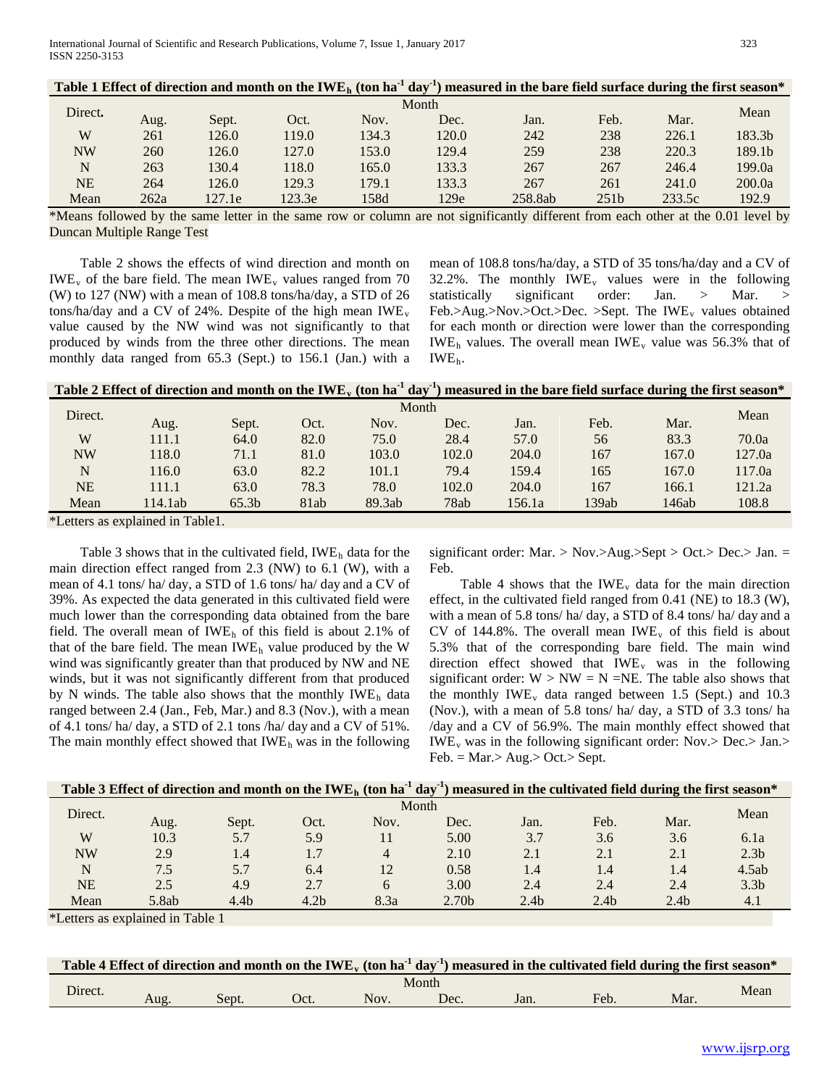|           |       |        |        |       |       | Table 1 Effect of direction and month on the IWE <sub>h</sub> (ton ha <sup>-1</sup> day <sup>-1</sup> ) measured in the bare field surface during the first season* |                  |        |                    |  |  |  |
|-----------|-------|--------|--------|-------|-------|---------------------------------------------------------------------------------------------------------------------------------------------------------------------|------------------|--------|--------------------|--|--|--|
| Direct.   | Month |        |        |       |       |                                                                                                                                                                     |                  |        |                    |  |  |  |
|           | Aug.  | Sept.  | Oct.   | Nov.  | Dec.  | Jan.                                                                                                                                                                | Feb.             | Mar.   | Mean               |  |  |  |
| W         | 261   | 126.0  | 119.0  | 134.3 | 120.0 | 242                                                                                                                                                                 | 238              | 226.1  | 183.3 <sub>b</sub> |  |  |  |
| <b>NW</b> | 260   | 126.0  | 127.0  | 153.0 | 129.4 | 259                                                                                                                                                                 | 238              | 220.3  | 189.1 <sub>b</sub> |  |  |  |
| N         | 263   | 130.4  | 118.0  | 165.0 | 133.3 | 267                                                                                                                                                                 | 267              | 246.4  | 199.0a             |  |  |  |
| <b>NE</b> | 264   | 126.0  | 129.3  | 179.1 | 133.3 | 267                                                                                                                                                                 | 261              | 241.0  | 200.0a             |  |  |  |
| Mean      | 262a  | 127.1e | 123.3e | 158d  | 129e  | 258.8ab                                                                                                                                                             | 251 <sub>b</sub> | 233.5c | 192.9              |  |  |  |

\*Means followed by the same letter in the same row or column are not significantly different from each other at the 0.01 level by Duncan Multiple Range Test

 Table 2 shows the effects of wind direction and month on IWE<sub>v</sub> of the bare field. The mean IWE<sub>v</sub> values ranged from 70 (W) to 127 (NW) with a mean of 108.8 tons/ha/day, a STD of 26 tons/ha/day and a CV of 24%. Despite of the high mean  $IWE$ <sub>v</sub> value caused by the NW wind was not significantly to that produced by winds from the three other directions. The mean monthly data ranged from 65.3 (Sept.) to 156.1 (Jan.) with a mean of 108.8 tons/ha/day, a STD of 35 tons/ha/day and a CV of 32.2%. The monthly  $IWE_v$  values were in the following statistically significant order: Jan. > Mar. > Feb.>Aug.>Nov.>Oct.>Dec. >Sept. The  $IWE_v$  values obtained for each month or direction were lower than the corresponding IWE<sub>h</sub> values. The overall mean IWE<sub>y</sub> value was 56.3% that of IWEh.

| Table 2 Effect of direction and month on the IWE <sub>y</sub> (ton ha <sup>-1</sup> day <sup>-1</sup> ) measured in the bare field surface during the first season* |                                                                                                                                                                                                                                                                                                  |                   |      |        |       |        |       |       |        |  |  |
|---------------------------------------------------------------------------------------------------------------------------------------------------------------------|--------------------------------------------------------------------------------------------------------------------------------------------------------------------------------------------------------------------------------------------------------------------------------------------------|-------------------|------|--------|-------|--------|-------|-------|--------|--|--|
| Direct.                                                                                                                                                             |                                                                                                                                                                                                                                                                                                  |                   |      | Month  |       |        |       |       | Mean   |  |  |
|                                                                                                                                                                     | Aug.                                                                                                                                                                                                                                                                                             | Sept.             | Oct. | Nov.   | Dec.  | Jan.   | Feb.  | Mar.  |        |  |  |
| W                                                                                                                                                                   | 111.1                                                                                                                                                                                                                                                                                            | 64.0              | 82.0 | 75.0   | 28.4  | 57.0   | 56    | 83.3  | 70.0a  |  |  |
| <b>NW</b>                                                                                                                                                           | 118.0                                                                                                                                                                                                                                                                                            | 71.1              | 81.0 | 103.0  | 102.0 | 204.0  | 167   | 167.0 | 127.0a |  |  |
| N                                                                                                                                                                   | 116.0                                                                                                                                                                                                                                                                                            | 63.0              | 82.2 | 101.1  | 79.4  | 159.4  | 165   | 167.0 | 117.0a |  |  |
| <b>NE</b>                                                                                                                                                           | 111.1                                                                                                                                                                                                                                                                                            | 63.0              | 78.3 | 78.0   | 102.0 | 204.0  | 167   | 166.1 | 121.2a |  |  |
| Mean                                                                                                                                                                | 114.1ab                                                                                                                                                                                                                                                                                          | 65.3 <sub>b</sub> | 81ab | 89.3ab | 78ab  | 156.1a | 139ab | 146ab | 108.8  |  |  |
|                                                                                                                                                                     | $\mathbf{v}$ and $\mathbf{v}$ are $\mathbf{v}$ and $\mathbf{v}$ are $\mathbf{v}$ and $\mathbf{v}$ are $\mathbf{v}$ and $\mathbf{v}$ are $\mathbf{v}$ and $\mathbf{v}$ are $\mathbf{v}$ and $\mathbf{v}$ are $\mathbf{v}$ and $\mathbf{v}$ are $\mathbf{v}$ and $\mathbf{v}$ are $\mathbf{v}$ and |                   |      |        |       |        |       |       |        |  |  |

\*Letters as explained in Table1.

Table 3 shows that in the cultivated field,  $IWE<sub>h</sub>$  data for the main direction effect ranged from 2.3 (NW) to 6.1 (W), with a mean of 4.1 tons/ ha/ day, a STD of 1.6 tons/ ha/ day and a CV of 39%. As expected the data generated in this cultivated field were much lower than the corresponding data obtained from the bare field. The overall mean of IWE<sub>h</sub> of this field is about 2.1% of that of the bare field. The mean  $IWE<sub>h</sub>$  value produced by the W wind was significantly greater than that produced by NW and NE winds, but it was not significantly different from that produced by N winds. The table also shows that the monthly  $IWE<sub>h</sub>$  data ranged between 2.4 (Jan., Feb, Mar.) and 8.3 (Nov.), with a mean of 4.1 tons/ ha/ day, a STD of 2.1 tons /ha/ day and a CV of 51%. The main monthly effect showed that  $IWE<sub>h</sub>$  was in the following

significant order: Mar. > Nov.>Aug.>Sept > Oct.> Dec.> Jan. = Feb.

Table 4 shows that the IWE<sub>y</sub> data for the main direction effect, in the cultivated field ranged from 0.41 (NE) to 18.3 (W), with a mean of 5.8 tons/ ha/ day, a STD of 8.4 tons/ ha/ day and a CV of 144.8%. The overall mean  $IWE_v$  of this field is about 5.3% that of the corresponding bare field. The main wind direction effect showed that  $IWE_v$  was in the following significant order:  $W > NW = N = NE$ . The table also shows that the monthly  $IWE_v$  data ranged between 1.5 (Sept.) and 10.3 (Nov.), with a mean of 5.8 tons/ ha/ day, a STD of 3.3 tons/ ha /day and a CV of 56.9%. The main monthly effect showed that  $IWE<sub>v</sub>$  was in the following significant order: Nov.> Dec.> Jan.>  $Feb. = Mar. > Aug. > Oct. > Sept.$ 

| Table 3 Effect of direction and month on the IWE <sub>h</sub> (ton ha <sup>-1</sup> day <sup>-1</sup> ) measured in the cultivated field during the first season* |                   |                  |                  |                |                   |                  |                  |                  |                  |  |  |
|-------------------------------------------------------------------------------------------------------------------------------------------------------------------|-------------------|------------------|------------------|----------------|-------------------|------------------|------------------|------------------|------------------|--|--|
| Direct.                                                                                                                                                           | Month             |                  |                  |                |                   |                  |                  |                  |                  |  |  |
|                                                                                                                                                                   | Aug.              | Sept.            | Oct.             | Nov.           | Dec.              | Jan.             | Feb.             | Mar.             | Mean             |  |  |
| W                                                                                                                                                                 | 10.3              | 5.7              | 5.9              |                | 5.00              | 3.7              | 3.6              | 3.6              | 6.1a             |  |  |
| <b>NW</b>                                                                                                                                                         | 2.9               | 1.4              | 1.7              | $\overline{4}$ | 2.10              | 2.1              | 2.1              | 2.1              | 2.3 <sub>b</sub> |  |  |
| N                                                                                                                                                                 | 7.5               | 5.7              | 6.4              | 12             | 0.58              | 1.4              | 1.4              | 1.4              | 4.5ab            |  |  |
| <b>NE</b>                                                                                                                                                         | 2.5               | 4.9              | 2.7              | 6              | 3.00              | 2.4              | 2.4              | 2.4              | 3.3 <sub>b</sub> |  |  |
| Mean                                                                                                                                                              | 5.8ab             | 4.4 <sub>b</sub> | 4.2 <sub>b</sub> | 8.3a           | 2.70 <sub>b</sub> | 2.4 <sub>b</sub> | 2.4 <sub>b</sub> | 2.4 <sub>b</sub> | 4.1              |  |  |
| $1.10$ and $1.10$ and $1.10$                                                                                                                                      | $\cdots$ $\cdots$ |                  |                  |                |                   |                  |                  |                  |                  |  |  |

\*Letters as explained in Table 1

|         |      |       |      |      |            |      | Table 4 Effect of direction and month on the IWE <sub>y</sub> (ton ha <sup>-1</sup> day <sup>-1</sup> ) measured in the cultivated field during the first season* |     |      |
|---------|------|-------|------|------|------------|------|-------------------------------------------------------------------------------------------------------------------------------------------------------------------|-----|------|
| Direct. |      |       |      |      | Month      |      |                                                                                                                                                                   |     | Mean |
|         | Aug. | Sent. | Dct. | Nov. | $\rm{Dec}$ | Jan. | Feb.                                                                                                                                                              | Mar |      |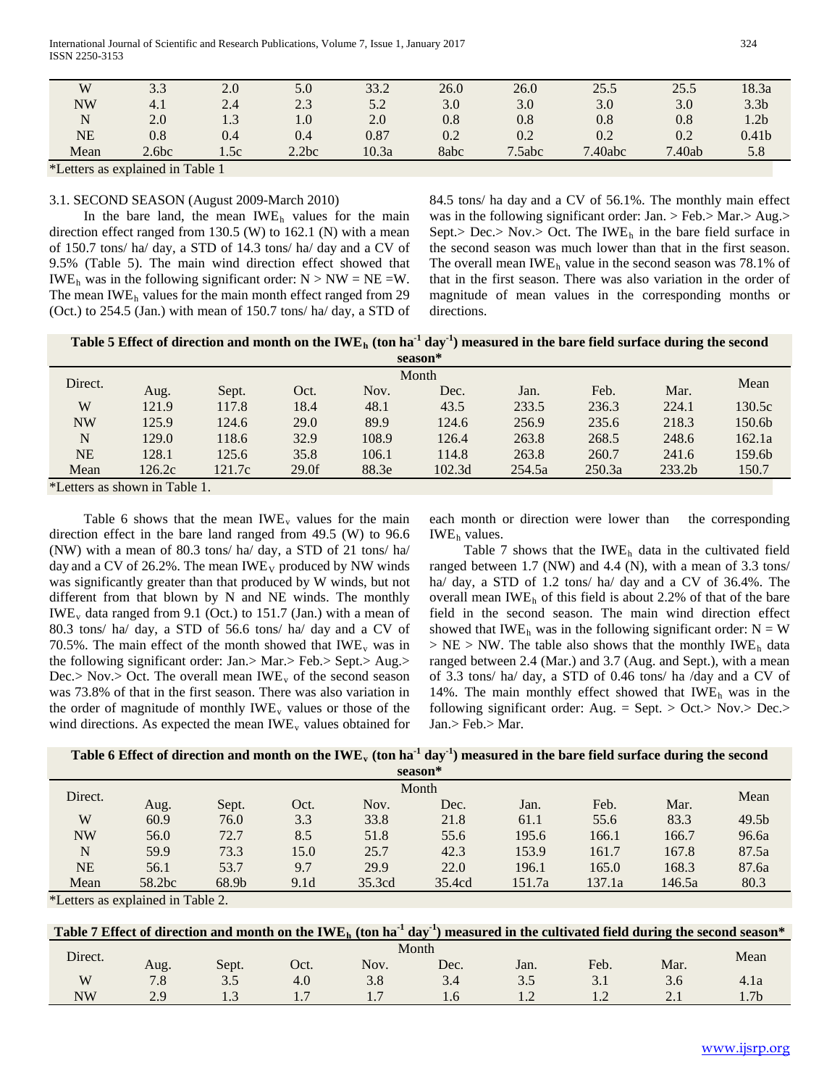| W         | 3.3                                                                                                                                                                                                                                                                                                               | 2.0  | 5.0   | 33.2  | 26.0 | 26.0   | 25.5    | 25.5   | 18.3a             |
|-----------|-------------------------------------------------------------------------------------------------------------------------------------------------------------------------------------------------------------------------------------------------------------------------------------------------------------------|------|-------|-------|------|--------|---------|--------|-------------------|
| <b>NW</b> | 4.1                                                                                                                                                                                                                                                                                                               | 2.4  | 2.3   | 5.2   | 3.0  | 3.0    | 3.0     | 3.0    | 3.3 <sub>b</sub>  |
| N         | 2.0                                                                                                                                                                                                                                                                                                               | 1.3  | 1.0   | 2.0   | 0.8  | 0.8    | 0.8     | 0.8    | 1.2 <sub>b</sub>  |
| NE        | 0.8                                                                                                                                                                                                                                                                                                               | 0.4  | 0.4   | 0.87  | 0.2  | 0.2    | 0.2     | 0.2    | 0.41 <sub>b</sub> |
| Mean      | 2.6bc                                                                                                                                                                                                                                                                                                             | 1.5c | 2.2bc | 10.3a | 8abc | 7.5abc | 7.40abc | 7.40ab | 5.8               |
|           | $\mathcal{F}$ and $\mathcal{F}$ are $\mathcal{F}$ and $\mathcal{F}$ are $\mathcal{F}$ and $\mathcal{F}$ and $\mathcal{F}$ are $\mathcal{F}$ and $\mathcal{F}$ are $\mathcal{F}$ and $\mathcal{F}$ are $\mathcal{F}$ and $\mathcal{F}$ are $\mathcal{F}$ and $\mathcal{F}$ are $\mathcal{F}$ and $\mathcal{F}$ are |      |       |       |      |        |         |        |                   |

\*Letters as explained in Table 1

## 3.1. SECOND SEASON (August 2009-March 2010)

In the bare land, the mean IWE<sub>h</sub> values for the main direction effect ranged from 130.5 (W) to 162.1 (N) with a mean of 150.7 tons/ ha/ day, a STD of 14.3 tons/ ha/ day and a CV of 9.5% (Table 5). The main wind direction effect showed that **IWE**<sub>h</sub> was in the following significant order:  $N > NW = NE = W$ . The mean IWE<sub>h</sub> values for the main month effect ranged from 29 (Oct.) to 254.5 (Jan.) with mean of 150.7 tons/ ha/ day, a STD of

84.5 tons/ ha day and a CV of 56.1%. The monthly main effect was in the following significant order: Jan. > Feb.> Mar.> Aug.> Sept.> Dec.> Nov.> Oct. The IWE<sub>h</sub> in the bare field surface in the second season was much lower than that in the first season. The overall mean IWE<sub>h</sub> value in the second season was 78.1% of that in the first season. There was also variation in the order of magnitude of mean values in the corresponding months or directions.

|                                              |        |        |          |       | season* |        |        |        |        |  |
|----------------------------------------------|--------|--------|----------|-------|---------|--------|--------|--------|--------|--|
|                                              | Month  |        |          |       |         |        |        |        |        |  |
| Direct.                                      | Aug.   | Sept.  | Oct.     | Nov.  | Dec.    | Jan.   | Feb.   | Mar.   | Mean   |  |
| W                                            | 121.9  | 117.8  | 18.4     | 48.1  | 43.5    | 233.5  | 236.3  | 224.1  | 130.5c |  |
| <b>NW</b>                                    | 125.9  | 124.6  | 29.0     | 89.9  | 124.6   | 256.9  | 235.6  | 218.3  | 150.6b |  |
| N                                            | 129.0  | 118.6  | 32.9     | 108.9 | 126.4   | 263.8  | 268.5  | 248.6  | 162.1a |  |
| NE                                           | 128.1  | 125.6  | 35.8     | 106.1 | 114.8   | 263.8  | 260.7  | 241.6  | 159.6b |  |
| Mean                                         | 126.2c | 121.7c | $29.0$ f | 88.3e | 102.3d  | 254.5a | 250.3a | 233.2b | 150.7  |  |
| $\pm 1$ attacks are also access the Table 1. |        |        |          |       |         |        |        |        |        |  |

\*Letters as shown in Table 1.

Table 6 shows that the mean IWE<sub>*v*</sub> values for the main direction effect in the bare land ranged from 49.5 (W) to 96.6 (NW) with a mean of 80.3 tons/ ha/ day, a STD of 21 tons/ ha/ day and a CV of 26.2%. The mean IWE<sub>V</sub> produced by NW winds was significantly greater than that produced by W winds, but not different from that blown by N and NE winds. The monthly IWE<sub>v</sub> data ranged from 9.1 (Oct.) to 151.7 (Jan.) with a mean of 80.3 tons/ ha/ day, a STD of 56.6 tons/ ha/ day and a CV of 70.5%. The main effect of the month showed that  $IWE_v$  was in the following significant order: Jan.> Mar.> Feb.> Sept.> Aug.> Dec.> Nov.> Oct. The overall mean IWE<sub>y</sub> of the second season was 73.8% of that in the first season. There was also variation in the order of magnitude of monthly IWE<sub>y</sub> values or those of the wind directions. As expected the mean IWE<sub>y</sub> values obtained for each month or direction were lower than the corresponding IWE<sub>h</sub> values.

Table 7 shows that the IWE<sub>h</sub> data in the cultivated field ranged between 1.7 (NW) and 4.4 (N), with a mean of 3.3 tons/ ha/ day, a STD of 1.2 tons/ ha/ day and a CV of 36.4%. The overall mean IWE<sub>h</sub> of this field is about 2.2% of that of the bare field in the second season. The main wind direction effect showed that  $IWE_h$  was in the following significant order:  $N = W$  $> NE > NW$ . The table also shows that the monthly  $IWE_h$  data ranged between 2.4 (Mar.) and 3.7 (Aug. and Sept.), with a mean of 3.3 tons/ ha/ day, a STD of 0.46 tons/ ha /day and a CV of 14%. The main monthly effect showed that IWE<sub>h</sub> was in the following significant order: Aug. = Sept. > Oct.> Nov.> Dec.> Jan.> Feb.> Mar.

|           |        |       |                  |        | season* |        |        | $\tilde{}$ |                   |  |  |
|-----------|--------|-------|------------------|--------|---------|--------|--------|------------|-------------------|--|--|
| Direct.   | Month  |       |                  |        |         |        |        |            |                   |  |  |
|           | Aug.   | Sept. | Oct.             | Nov.   | Dec.    | Jan.   | Feb.   | Mar.       | Mean              |  |  |
| W         | 60.9   | 76.0  | 3.3              | 33.8   | 21.8    | 61.1   | 55.6   | 83.3       | 49.5 <sub>b</sub> |  |  |
| <b>NW</b> | 56.0   | 72.7  | 8.5              | 51.8   | 55.6    | 195.6  | 166.1  | 166.7      | 96.6a             |  |  |
| N         | 59.9   | 73.3  | 15.0             | 25.7   | 42.3    | 153.9  | 161.7  | 167.8      | 87.5a             |  |  |
| NE        | 56.1   | 53.7  | 9.7              | 29.9   | 22.0    | 196.1  | 165.0  | 168.3      | 87.6a             |  |  |
| Mean      | 58.2bc | 68.9b | 9.1 <sub>d</sub> | 35.3cd | 35.4cd  | 151.7a | 137.1a | 146.5a     | 80.3              |  |  |

\*Letters as explained in Table 2.

|         |      |       |                  |      |       |      |      |      | Table 7 Effect of direction and month on the IWE <sub>h</sub> (ton ha <sup>-1</sup> day <sup>-1</sup> ) measured in the cultivated field during the second season* |
|---------|------|-------|------------------|------|-------|------|------|------|--------------------------------------------------------------------------------------------------------------------------------------------------------------------|
|         |      |       |                  |      | Month |      |      |      |                                                                                                                                                                    |
| Direct. | Aug. | Sept. | $\mathcal{O}ct.$ | Nov. | Dec.  | Jan. | Feb. | Mar. | Mean                                                                                                                                                               |

W 7.8 3.5 4.0 3.8 3.4 3.5 3.1 3.6 4.1a NW 2.9 1.3 1.7 1.7 1.6 1.2 1.2 2.1 1.7b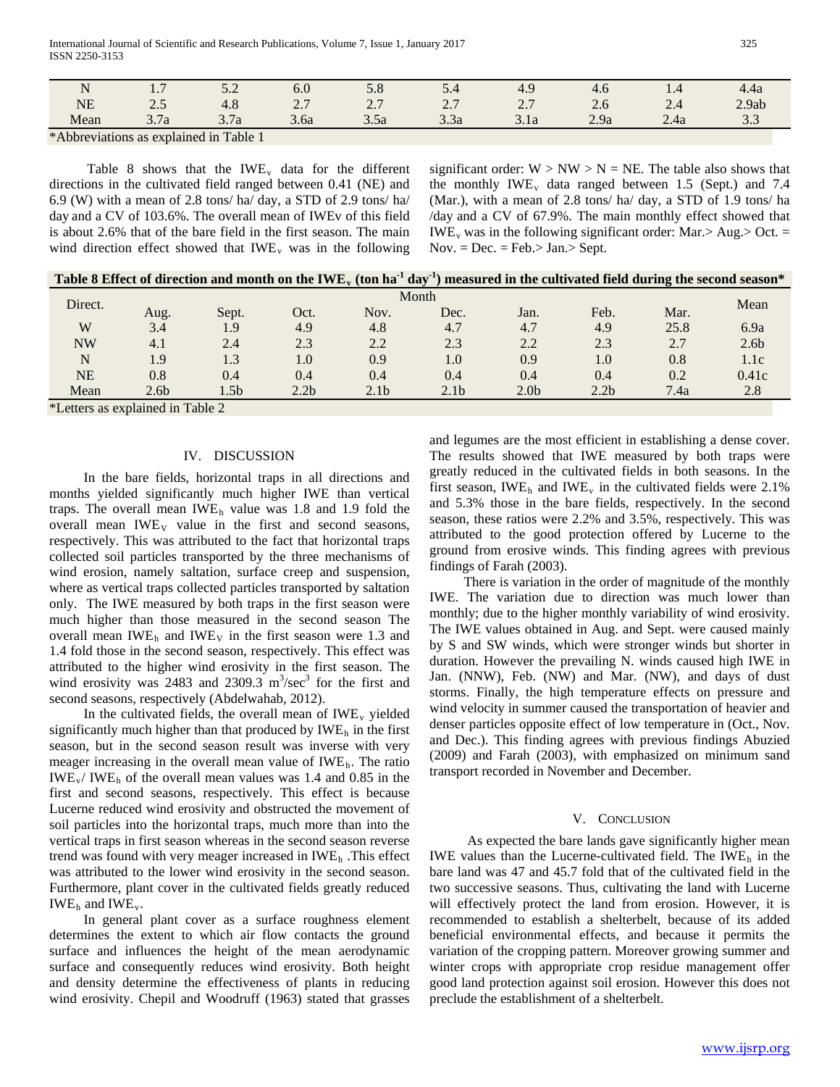| N<br>$\mathbf{r}$ | $\cdot$ ,             | $\sim\,$                      | v.v                          | $\cup$ . $\cup$                           | <u>.</u>                     | ᅭ<br>т.∠                        | 4.O              | 1.4    | 4.4a                 |
|-------------------|-----------------------|-------------------------------|------------------------------|-------------------------------------------|------------------------------|---------------------------------|------------------|--------|----------------------|
| <b>NE</b>         | ن و گ                 | $\sim$<br>т. о                | $\sim$ $\sim$<br>$\sim\cdot$ | $\sim$ $\sim$<br>$\overline{\phantom{a}}$ | $\sim$ $\sim$<br>$\sim\cdot$ | $\sim$ $\sim$<br>$\overline{a}$ | $\mathcal{L}$ .0 | $\sim$ | 2.9ab                |
| Mean              | $\sim$ $\sim$<br>3.1a | $\overline{ }$<br>റ<br>J. 1 a | 3.6a                         | 3.5a                                      | $\sim$ $\sim$<br>3.3a        | 3.1a                            | 2.9a             | 2.4a   | $\sim$ $\sim$<br>ن ر |

\*Abbreviations as explained in Table 1

Table 8 shows that the  $IWE_v$  data for the different directions in the cultivated field ranged between 0.41 (NE) and 6.9 (W) with a mean of 2.8 tons/ ha/ day, a STD of 2.9 tons/ ha/ day and a CV of 103.6%. The overall mean of IWEv of this field is about 2.6% that of the bare field in the first season. The main wind direction effect showed that  $IWE_v$  was in the following significant order:  $W > NW > N = NE$ . The table also shows that the monthly  $IWE_v$  data ranged between 1.5 (Sept.) and 7.4 (Mar.), with a mean of 2.8 tons/ ha/ day, a STD of 1.9 tons/ ha /day and a CV of 67.9%. The main monthly effect showed that  $IWE_v$  was in the following significant order: Mar. > Aug. > Oct. =  $Nov. = Dec. = Feb. > Jan. > Sept.$ 

| Table 8 Effect of direction and month on the IWE <sub>y</sub> (ton ha <sup>-1</sup> day <sup>-1</sup> ) measured in the cultivated field during the second season* |                  |                 |                  |                  |                  |                  |                  |      |                  |  |  |  |
|--------------------------------------------------------------------------------------------------------------------------------------------------------------------|------------------|-----------------|------------------|------------------|------------------|------------------|------------------|------|------------------|--|--|--|
| Direct.                                                                                                                                                            | Month            |                 |                  |                  |                  |                  |                  |      |                  |  |  |  |
|                                                                                                                                                                    | Aug.             | Sept.           | Oct.             | Nov.             | Dec.             | Jan.             | Feb.             | Mar. | Mean             |  |  |  |
| W                                                                                                                                                                  | 3.4              | 1.9             | 4.9              | 4.8              | 4.7              | 4.7              | 4.9              | 25.8 | 6.9a             |  |  |  |
| <b>NW</b>                                                                                                                                                          | 4.1              | 2.4             | 2.3              | 2.2              | 2.3              | 2.2              | 2.3              | 2.7  | 2.6 <sub>b</sub> |  |  |  |
| N                                                                                                                                                                  | 1.9              | 1.3             | 1.0              | 0.9              | 1.0              | 0.9              | 1.0              | 0.8  | 1.1c             |  |  |  |
| <b>NE</b>                                                                                                                                                          | 0.8              | 0.4             | 0.4              | 0.4              | 0.4              | 0.4              | 0.4              | 0.2  | 0.41c            |  |  |  |
| Mean                                                                                                                                                               | 2.6 <sub>b</sub> | .5 <sub>b</sub> | 2.2 <sub>b</sub> | 2.1 <sub>b</sub> | 2.1 <sub>b</sub> | 2.0 <sub>b</sub> | 2.2 <sub>b</sub> | 7.4a | 2.8              |  |  |  |

\*Letters as explained in Table 2

## IV. DISCUSSION

 In the bare fields, horizontal traps in all directions and months yielded significantly much higher IWE than vertical traps. The overall mean IWE<sub>h</sub> value was 1.8 and 1.9 fold the overall mean  $IWE_V$  value in the first and second seasons, respectively. This was attributed to the fact that horizontal traps collected soil particles transported by the three mechanisms of wind erosion, namely saltation, surface creep and suspension, where as vertical traps collected particles transported by saltation only. The IWE measured by both traps in the first season were much higher than those measured in the second season The overall mean IWE<sub>h</sub> and IWE<sub>V</sub> in the first season were 1.3 and 1.4 fold those in the second season, respectively. This effect was attributed to the higher wind erosivity in the first season. The wind erosivity was 2483 and 2309.3  $m^3/sec^3$  for the first and second seasons, respectively (Abdelwahab, 2012).

In the cultivated fields, the overall mean of IWE<sub>y</sub> yielded significantly much higher than that produced by IWE<sub>h</sub> in the first season, but in the second season result was inverse with very meager increasing in the overall mean value of IWE<sub>h</sub>. The ratio IWE<sub>V</sub>/ IWE<sub>h</sub> of the overall mean values was 1.4 and 0.85 in the first and second seasons, respectively. This effect is because Lucerne reduced wind erosivity and obstructed the movement of soil particles into the horizontal traps, much more than into the vertical traps in first season whereas in the second season reverse trend was found with very meager increased in IWE<sub>h</sub>. This effect was attributed to the lower wind erosivity in the second season. Furthermore, plant cover in the cultivated fields greatly reduced IWE<sub>*R*</sub></sub> and IWE<sub>*V*</sub>.

 In general plant cover as a surface roughness element determines the extent to which air flow contacts the ground surface and influences the height of the mean aerodynamic surface and consequently reduces wind erosivity. Both height and density determine the effectiveness of plants in reducing wind erosivity. Chepil and Woodruff (1963) stated that grasses and legumes are the most efficient in establishing a dense cover. The results showed that IWE measured by both traps were greatly reduced in the cultivated fields in both seasons. In the first season, IWE<sub>h</sub> and IWE<sub>y</sub> in the cultivated fields were 2.1% and 5.3% those in the bare fields, respectively. In the second season, these ratios were 2.2% and 3.5%, respectively. This was attributed to the good protection offered by Lucerne to the ground from erosive winds. This finding agrees with previous findings of Farah (2003).

 There is variation in the order of magnitude of the monthly IWE. The variation due to direction was much lower than monthly; due to the higher monthly variability of wind erosivity. The IWE values obtained in Aug. and Sept. were caused mainly by S and SW winds, which were stronger winds but shorter in duration. However the prevailing N. winds caused high IWE in Jan. (NNW), Feb. (NW) and Mar. (NW), and days of dust storms. Finally, the high temperature effects on pressure and wind velocity in summer caused the transportation of heavier and denser particles opposite effect of low temperature in (Oct., Nov. and Dec.). This finding agrees with previous findings Abuzied (2009) and Farah (2003), with emphasized on minimum sand transport recorded in November and December.

#### V. CONCLUSION

 As expected the bare lands gave significantly higher mean IWE values than the Lucerne-cultivated field. The IWE<sub>h</sub> in the bare land was 47 and 45.7 fold that of the cultivated field in the two successive seasons. Thus, cultivating the land with Lucerne will effectively protect the land from erosion. However, it is recommended to establish a shelterbelt, because of its added beneficial environmental effects, and because it permits the variation of the cropping pattern. Moreover growing summer and winter crops with appropriate crop residue management offer good land protection against soil erosion. However this does not preclude the establishment of a shelterbelt.